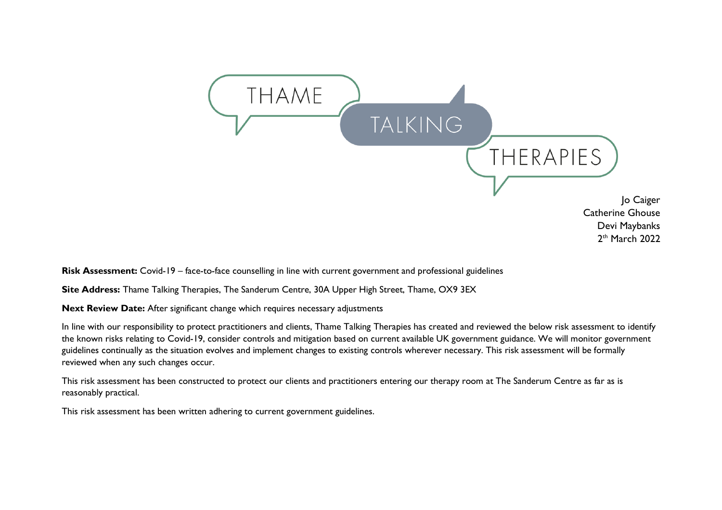

**Risk Assessment:** Covid-19 – face-to-face counselling in line with current government and professional guidelines

**Site Address:** Thame Talking Therapies, The Sanderum Centre, 30A Upper High Street, Thame, OX9 3EX

**Next Review Date:** After significant change which requires necessary adjustments

In line with our responsibility to protect practitioners and clients, Thame Talking Therapies has created and reviewed the below risk assessment to identify the known risks relating to Covid-19, consider controls and mitigation based on current available UK government guidance. We will monitor government guidelines continually as the situation evolves and implement changes to existing controls wherever necessary. This risk assessment will be formally reviewed when any such changes occur.

This risk assessment has been constructed to protect our clients and practitioners entering our therapy room at The Sanderum Centre as far as is reasonably practical.

This risk assessment has been written adhering to current government guidelines.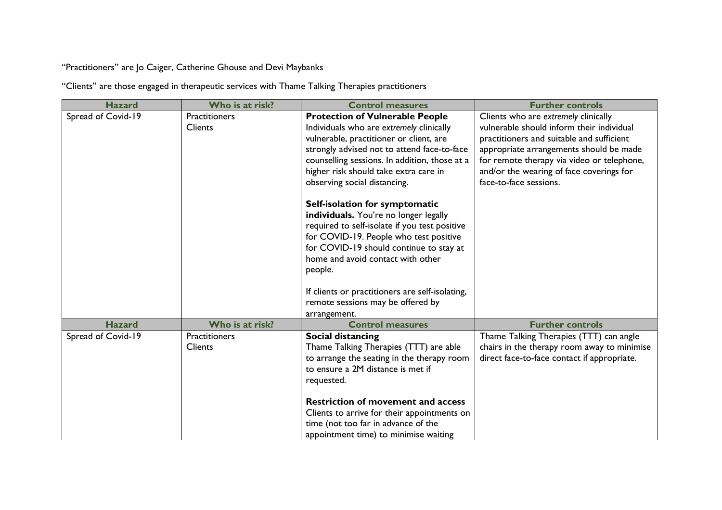"Practitioners" are Jo Caiger, Catherine Ghouse and Devi Maybanks

"Clients" are those engaged in therapeutic services with Thame Talking Therapies practitioners

| <b>Hazard</b>      | Who is at risk?                        | <b>Control measures</b>                                                                                                                                                                                                                                                                                                                                               | <b>Further controls</b>                                                                                                                                                                                                                                                                       |
|--------------------|----------------------------------------|-----------------------------------------------------------------------------------------------------------------------------------------------------------------------------------------------------------------------------------------------------------------------------------------------------------------------------------------------------------------------|-----------------------------------------------------------------------------------------------------------------------------------------------------------------------------------------------------------------------------------------------------------------------------------------------|
| Spread of Covid-19 | <b>Practitioners</b><br><b>Clients</b> | <b>Protection of Vulnerable People</b><br>Individuals who are extremely clinically<br>vulnerable, practitioner or client, are<br>strongly advised not to attend face-to-face<br>counselling sessions. In addition, those at a<br>higher risk should take extra care in<br>observing social distancing.                                                                | Clients who are extremely clinically<br>vulnerable should inform their individual<br>practitioners and suitable and sufficient<br>appropriate arrangements should be made<br>for remote therapy via video or telephone,<br>and/or the wearing of face coverings for<br>face-to-face sessions. |
|                    |                                        | Self-isolation for symptomatic<br>individuals. You're no longer legally<br>required to self-isolate if you test positive<br>for COVID-19. People who test positive<br>for COVID-19 should continue to stay at<br>home and avoid contact with other<br>people.<br>If clients or practitioners are self-isolating,<br>remote sessions may be offered by<br>arrangement. |                                                                                                                                                                                                                                                                                               |
| <b>Hazard</b>      | Who is at risk?                        | <b>Control measures</b>                                                                                                                                                                                                                                                                                                                                               | <b>Further controls</b>                                                                                                                                                                                                                                                                       |
| Spread of Covid-19 | <b>Practitioners</b><br><b>Clients</b> | Social distancing<br>Thame Talking Therapies (TTT) are able<br>to arrange the seating in the therapy room<br>to ensure a 2M distance is met if<br>requested.<br><b>Restriction of movement and access</b><br>Clients to arrive for their appointments on<br>time (not too far in advance of the<br>appointment time) to minimise waiting                              | Thame Talking Therapies (TTT) can angle<br>chairs in the therapy room away to minimise<br>direct face-to-face contact if appropriate.                                                                                                                                                         |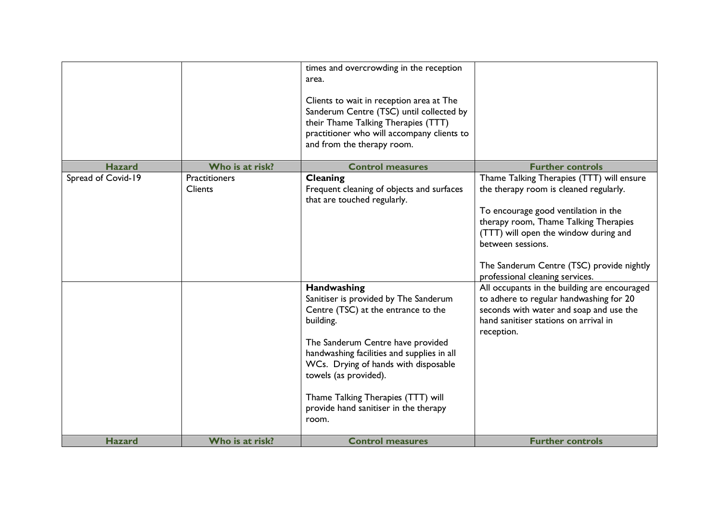|                    |                          | times and overcrowding in the reception<br>area.<br>Clients to wait in reception area at The<br>Sanderum Centre (TSC) until collected by<br>their Thame Talking Therapies (TTT)<br>practitioner who will accompany clients to<br>and from the therapy room.                                                                                                                                                                                  |                                                                                                                                                                                                                                                                                                                                                                                                                                                                                                                 |
|--------------------|--------------------------|----------------------------------------------------------------------------------------------------------------------------------------------------------------------------------------------------------------------------------------------------------------------------------------------------------------------------------------------------------------------------------------------------------------------------------------------|-----------------------------------------------------------------------------------------------------------------------------------------------------------------------------------------------------------------------------------------------------------------------------------------------------------------------------------------------------------------------------------------------------------------------------------------------------------------------------------------------------------------|
| <b>Hazard</b>      | Who is at risk?          | <b>Control measures</b>                                                                                                                                                                                                                                                                                                                                                                                                                      | <b>Further controls</b>                                                                                                                                                                                                                                                                                                                                                                                                                                                                                         |
| Spread of Covid-19 | Practitioners<br>Clients | Cleaning<br>Frequent cleaning of objects and surfaces<br>that are touched regularly.<br>Handwashing<br>Sanitiser is provided by The Sanderum<br>Centre (TSC) at the entrance to the<br>building.<br>The Sanderum Centre have provided<br>handwashing facilities and supplies in all<br>WCs. Drying of hands with disposable<br>towels (as provided).<br>Thame Talking Therapies (TTT) will<br>provide hand sanitiser in the therapy<br>room. | Thame Talking Therapies (TTT) will ensure<br>the therapy room is cleaned regularly.<br>To encourage good ventilation in the<br>therapy room, Thame Talking Therapies<br>(TTT) will open the window during and<br>between sessions.<br>The Sanderum Centre (TSC) provide nightly<br>professional cleaning services.<br>All occupants in the building are encouraged<br>to adhere to regular handwashing for 20<br>seconds with water and soap and use the<br>hand sanitiser stations on arrival in<br>reception. |
| <b>Hazard</b>      | Who is at risk?          | <b>Control measures</b>                                                                                                                                                                                                                                                                                                                                                                                                                      | <b>Further controls</b>                                                                                                                                                                                                                                                                                                                                                                                                                                                                                         |